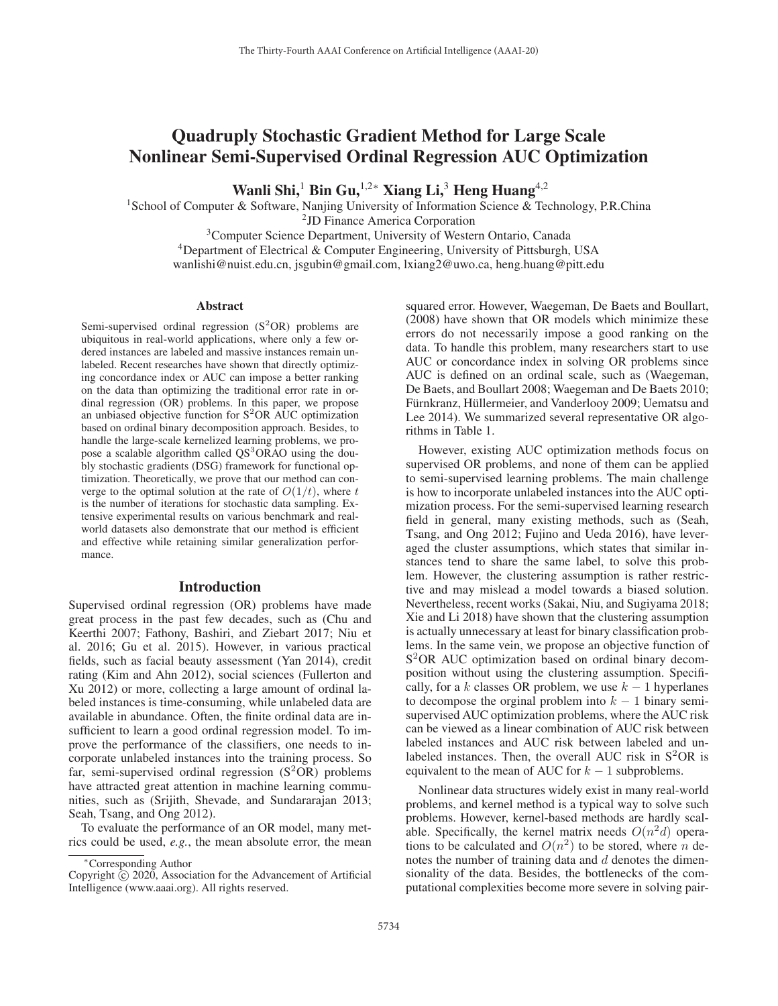# Quadruply Stochastic Gradient Method for Large Scale Nonlinear Semi-Supervised Ordinal Regression AUC Optimization

Wanli Shi,<sup>1</sup> Bin Gu,<sup>1,2∗</sup> Xiang Li,<sup>3</sup> Heng Huang<sup>4,2</sup>

<sup>1</sup>School of Computer & Software, Nanjing University of Information Science & Technology, P.R.China

2JD Finance America Corporation

<sup>3</sup>Computer Science Department, University of Western Ontario, Canada

4Department of Electrical & Computer Engineering, University of Pittsburgh, USA

wanlishi@nuist.edu.cn, jsgubin@gmail.com, lxiang2@uwo.ca, heng.huang@pitt.edu

#### Abstract

Semi-supervised ordinal regression  $(S^2OR)$  problems are ubiquitous in real-world applications, where only a few ordered instances are labeled and massive instances remain unlabeled. Recent researches have shown that directly optimizing concordance index or AUC can impose a better ranking on the data than optimizing the traditional error rate in ordinal regression (OR) problems. In this paper, we propose an unbiased objective function for  $S^2OR$  AUC optimization based on ordinal binary decomposition approach. Besides, to handle the large-scale kernelized learning problems, we propose a scalable algorithm called QS<sup>3</sup>ORAO using the doubly stochastic gradients (DSG) framework for functional optimization. Theoretically, we prove that our method can converge to the optimal solution at the rate of  $O(1/t)$ , where t is the number of iterations for stochastic data sampling. Extensive experimental results on various benchmark and realworld datasets also demonstrate that our method is efficient and effective while retaining similar generalization performance.

#### Introduction

Supervised ordinal regression (OR) problems have made great process in the past few decades, such as (Chu and Keerthi 2007; Fathony, Bashiri, and Ziebart 2017; Niu et al. 2016; Gu et al. 2015). However, in various practical fields, such as facial beauty assessment (Yan 2014), credit rating (Kim and Ahn 2012), social sciences (Fullerton and Xu 2012) or more, collecting a large amount of ordinal labeled instances is time-consuming, while unlabeled data are available in abundance. Often, the finite ordinal data are insufficient to learn a good ordinal regression model. To improve the performance of the classifiers, one needs to incorporate unlabeled instances into the training process. So far, semi-supervised ordinal regression  $(S^2OR)$  problems have attracted great attention in machine learning communities, such as (Srijith, Shevade, and Sundararajan 2013; Seah, Tsang, and Ong 2012).

To evaluate the performance of an OR model, many metrics could be used, *e.g.*, the mean absolute error, the mean

squared error. However, Waegeman, De Baets and Boullart, (2008) have shown that OR models which minimize these errors do not necessarily impose a good ranking on the data. To handle this problem, many researchers start to use AUC or concordance index in solving OR problems since AUC is defined on an ordinal scale, such as (Waegeman, De Baets, and Boullart 2008; Waegeman and De Baets 2010; Fürnkranz, Hüllermeier, and Vanderlooy 2009; Uematsu and Lee 2014). We summarized several representative OR algorithms in Table 1.

However, existing AUC optimization methods focus on supervised OR problems, and none of them can be applied to semi-supervised learning problems. The main challenge is how to incorporate unlabeled instances into the AUC optimization process. For the semi-supervised learning research field in general, many existing methods, such as (Seah, Tsang, and Ong 2012; Fujino and Ueda 2016), have leveraged the cluster assumptions, which states that similar instances tend to share the same label, to solve this problem. However, the clustering assumption is rather restrictive and may mislead a model towards a biased solution. Nevertheless, recent works (Sakai, Niu, and Sugiyama 2018; Xie and Li 2018) have shown that the clustering assumption is actually unnecessary at least for binary classification problems. In the same vein, we propose an objective function of S<sup>2</sup>OR AUC optimization based on ordinal binary decomposition without using the clustering assumption. Specifically, for a k classes OR problem, we use  $k - 1$  hyperlanes to decompose the orginal problem into  $k - 1$  binary semisupervised AUC optimization problems, where the AUC risk can be viewed as a linear combination of AUC risk between labeled instances and AUC risk between labeled and unlabeled instances. Then, the overall AUC risk in  $S^2OR$  is equivalent to the mean of AUC for  $k - 1$  subproblems.

Nonlinear data structures widely exist in many real-world problems, and kernel method is a typical way to solve such problems. However, kernel-based methods are hardly scalable. Specifically, the kernel matrix needs  $O(n^2d)$  operations to be calculated and  $O(n^2)$  to be stored, where n denotes the number of training data and  $d$  denotes the dimensionality of the data. Besides, the bottlenecks of the computational complexities become more severe in solving pair-

<sup>∗</sup>Corresponding Author

Copyright  $\odot$  2020, Association for the Advancement of Artificial Intelligence (www.aaai.org). All rights reserved.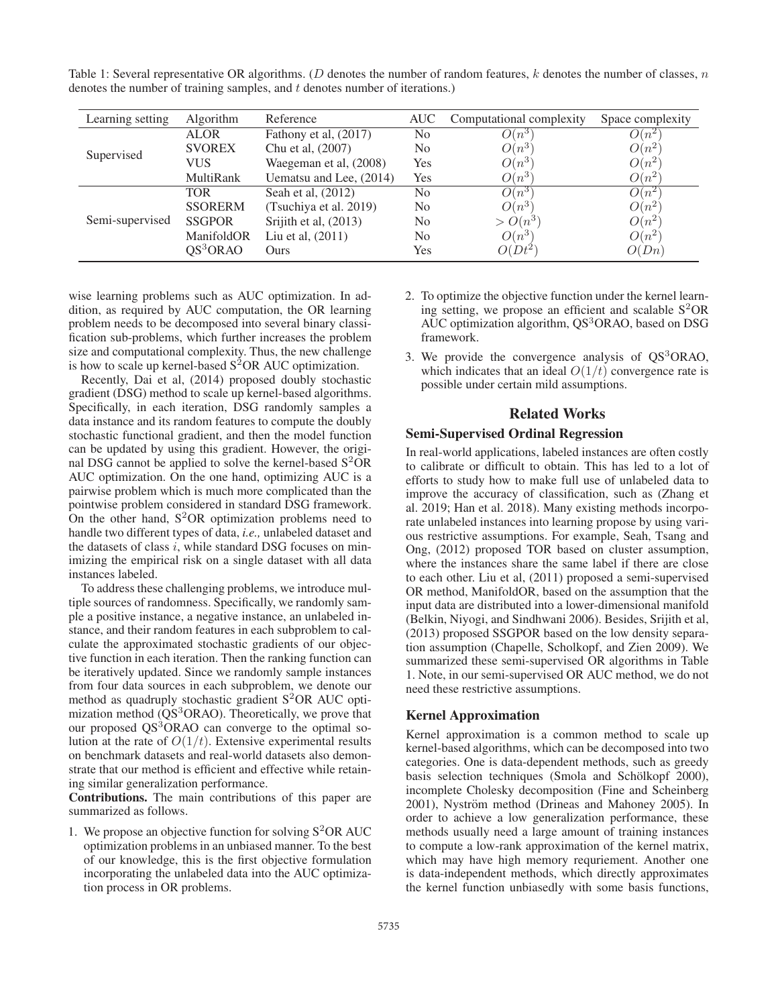Table 1: Several representative OR algorithms. (D denotes the number of random features, k denotes the number of classes, n denotes the number of training samples, and  $t$  denotes number of iterations.)

| Learning setting | Algorithm            | Reference               | AUC            | Computational complexity | Space complexity |
|------------------|----------------------|-------------------------|----------------|--------------------------|------------------|
| Supervised       | <b>ALOR</b>          | Fathony et al, (2017)   | N <sub>0</sub> | $O(n^3)$                 | $O(n^2)$         |
|                  | <b>SVOREX</b>        | Chu et al, (2007)       | N <sub>0</sub> | $O(n^3)$                 | $O(n^2)$         |
|                  | VUS                  | Waegeman et al, (2008)  | Yes            | $O(n^3)$                 | $O(n^2)$         |
|                  | MultiRank            | Uematsu and Lee, (2014) | Yes            | $O(n^3)$                 | $O(n^2)$         |
| Semi-supervised  | <b>TOR</b>           | Seah et al, (2012)      | N <sub>0</sub> | $O(n^3)$                 | $O(n^2)$         |
|                  | <b>SSORERM</b>       | (Tsuchiya et al. 2019)  | N <sub>0</sub> | $O(n^3)$                 | $O(n^2)$         |
|                  | <b>SSGPOR</b>        | Srijith et al, (2013)   | N <sub>0</sub> | $> O(n^3)$               | $O(n^2)$         |
|                  | ManifoldOR           | Liu et al, (2011)       | N <sub>0</sub> | $O(n^3)$                 | $O(n^2)$         |
|                  | QS <sup>3</sup> ORAO | Ours                    | Yes            | $O(Dt^2)$                | O(Dn)            |
|                  |                      |                         |                |                          |                  |

wise learning problems such as AUC optimization. In addition, as required by AUC computation, the OR learning problem needs to be decomposed into several binary classification sub-problems, which further increases the problem size and computational complexity. Thus, the new challenge is how to scale up kernel-based  $S^2OR$  AUC optimization.

Recently, Dai et al, (2014) proposed doubly stochastic gradient (DSG) method to scale up kernel-based algorithms. Specifically, in each iteration, DSG randomly samples a data instance and its random features to compute the doubly stochastic functional gradient, and then the model function can be updated by using this gradient. However, the original DSG cannot be applied to solve the kernel-based  $S^2OR$ AUC optimization. On the one hand, optimizing AUC is a pairwise problem which is much more complicated than the pointwise problem considered in standard DSG framework. On the other hand,  $S^2OR$  optimization problems need to handle two different types of data, *i.e.,* unlabeled dataset and the datasets of class  $i$ , while standard DSG focuses on minimizing the empirical risk on a single dataset with all data instances labeled.

To address these challenging problems, we introduce multiple sources of randomness. Specifically, we randomly sample a positive instance, a negative instance, an unlabeled instance, and their random features in each subproblem to calculate the approximated stochastic gradients of our objective function in each iteration. Then the ranking function can be iteratively updated. Since we randomly sample instances from four data sources in each subproblem, we denote our method as quadruply stochastic gradient  $S^2OR$  AUC optimization method  $(QS<sup>3</sup>ORAO)$ . Theoretically, we prove that our proposed QS<sup>3</sup>ORAO can converge to the optimal solution at the rate of  $O(1/t)$ . Extensive experimental results on benchmark datasets and real-world datasets also demonstrate that our method is efficient and effective while retaining similar generalization performance.

Contributions. The main contributions of this paper are summarized as follows.

1. We propose an objective function for solving  $S^2OR$  AUC optimization problems in an unbiased manner. To the best of our knowledge, this is the first objective formulation incorporating the unlabeled data into the AUC optimization process in OR problems.

- 2. To optimize the objective function under the kernel learning setting, we propose an efficient and scalable  $S^2OR$ AUC optimization algorithm,  $QS<sup>3</sup>ORAO$ , based on DSG framework.
- 3. We provide the convergence analysis of QS<sup>3</sup>ORAO, which indicates that an ideal  $O(1/t)$  convergence rate is possible under certain mild assumptions.

## Related Works

#### Semi-Supervised Ordinal Regression

In real-world applications, labeled instances are often costly to calibrate or difficult to obtain. This has led to a lot of efforts to study how to make full use of unlabeled data to improve the accuracy of classification, such as (Zhang et al. 2019; Han et al. 2018). Many existing methods incorporate unlabeled instances into learning propose by using various restrictive assumptions. For example, Seah, Tsang and Ong, (2012) proposed TOR based on cluster assumption, where the instances share the same label if there are close to each other. Liu et al, (2011) proposed a semi-supervised OR method, ManifoldOR, based on the assumption that the input data are distributed into a lower-dimensional manifold (Belkin, Niyogi, and Sindhwani 2006). Besides, Srijith et al, (2013) proposed SSGPOR based on the low density separation assumption (Chapelle, Scholkopf, and Zien 2009). We summarized these semi-supervised OR algorithms in Table 1. Note, in our semi-supervised OR AUC method, we do not need these restrictive assumptions.

### Kernel Approximation

Kernel approximation is a common method to scale up kernel-based algorithms, which can be decomposed into two categories. One is data-dependent methods, such as greedy basis selection techniques (Smola and Schölkopf 2000), incomplete Cholesky decomposition (Fine and Scheinberg 2001), Nyström method (Drineas and Mahoney 2005). In order to achieve a low generalization performance, these methods usually need a large amount of training instances to compute a low-rank approximation of the kernel matrix, which may have high memory requriement. Another one is data-independent methods, which directly approximates the kernel function unbiasedly with some basis functions,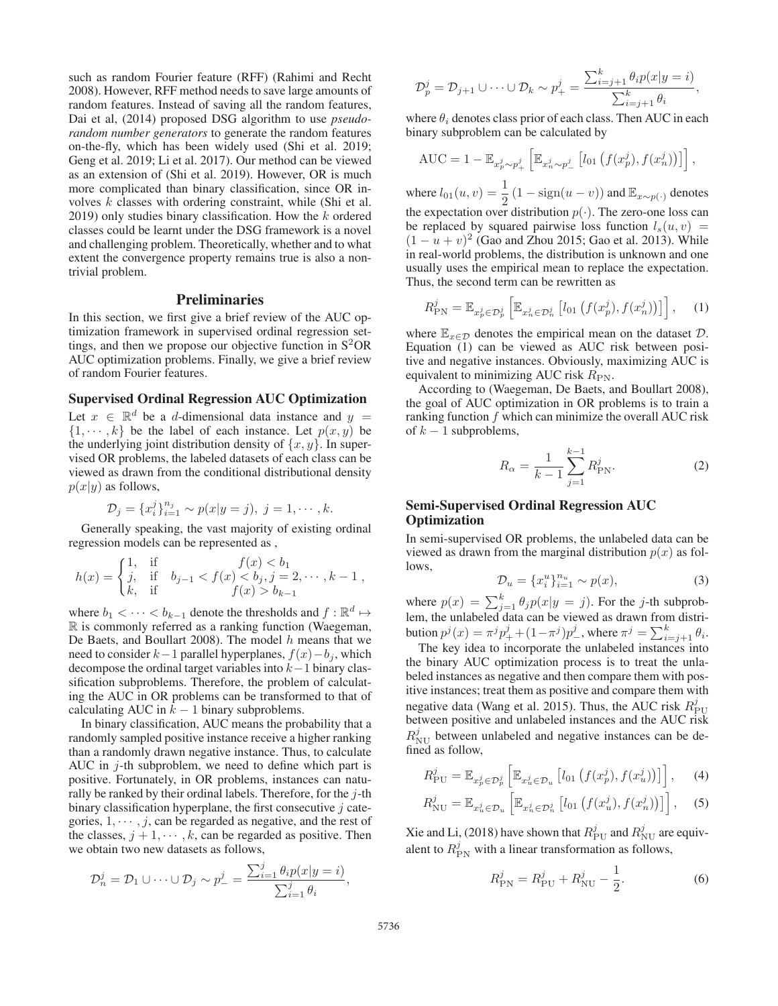such as random Fourier feature (RFF) (Rahimi and Recht 2008). However, RFF method needs to save large amounts of random features. Instead of saving all the random features, Dai et al, (2014) proposed DSG algorithm to use *pseudorandom number generators* to generate the random features on-the-fly, which has been widely used (Shi et al. 2019; Geng et al. 2019; Li et al. 2017). Our method can be viewed as an extension of (Shi et al. 2019). However, OR is much more complicated than binary classification, since OR involves k classes with ordering constraint, while (Shi et al.  $2019$ ) only studies binary classification. How the k ordered classes could be learnt under the DSG framework is a novel and challenging problem. Theoretically, whether and to what extent the convergence property remains true is also a nontrivial problem.

## Preliminaries

In this section, we first give a brief review of the AUC optimization framework in supervised ordinal regression settings, and then we propose our objective function in  $S^2OR$ AUC optimization problems. Finally, we give a brief review of random Fourier features.

## Supervised Ordinal Regression AUC Optimization

Let  $x \in \mathbb{R}^d$  be a d-dimensional data instance and  $y =$  $\{1, \dots, k\}$  be the label of each instance. Let  $p(x, y)$  be the underlying joint distribution density of  $\{x, y\}$ . In supervised OR problems, the labeled datasets of each class can be viewed as drawn from the conditional distributional density  $p(x|y)$  as follows,

$$
\mathcal{D}_j = \{x_i^j\}_{i=1}^{n_j} \sim p(x|y=j), \ j = 1, \cdots, k.
$$

Generally speaking, the vast majority of existing ordinal regression models can be represented as ,

$$
h(x) = \begin{cases} 1, & \text{if } f(x) < b_1 \\ j, & \text{if } b_{j-1} < f(x) < b_j, j = 2, \cdots, k - 1 \\ k, & \text{if } f(x) > b_{k-1} \end{cases}
$$

where  $b_1 < \cdots < b_{k-1}$  denote the thresholds and  $f : \mathbb{R}^d \mapsto$ R is commonly referred as a ranking function (Waegeman, De Baets, and Boullart 2008). The model  $h$  means that we need to consider  $k-1$  parallel hyperplanes,  $f(x)-b_i$ , which decompose the ordinal target variables into  $k-1$  binary classification subproblems. Therefore, the problem of calculating the AUC in OR problems can be transformed to that of calculating AUC in  $k - 1$  binary subproblems.

In binary classification, AUC means the probability that a randomly sampled positive instance receive a higher ranking than a randomly drawn negative instance. Thus, to calculate AUC in  $j$ -th subproblem, we need to define which part is positive. Fortunately, in OR problems, instances can naturally be ranked by their ordinal labels. Therefore, for the  $j$ -th binary classification hyperplane, the first consecutive  $i$  categories,  $1, \dots, j$ , can be regarded as negative, and the rest of the classes,  $j + 1, \dots, k$ , can be regarded as positive. Then we obtain two new datasets as follows,

$$
\mathcal{D}_n^j = \mathcal{D}_1 \cup \cdots \cup \mathcal{D}_j \sim p_-^j = \frac{\sum_{i=1}^j \theta_i p(x|y=i)}{\sum_{i=1}^j \theta_i},
$$

$$
\mathcal{D}_p^j = \mathcal{D}_{j+1} \cup \cdots \cup \mathcal{D}_k \sim p_+^j = \frac{\sum_{i=j+1}^k \theta_i p(x|y=i)}{\sum_{i=j+1}^k \theta_i},
$$

where  $\theta_i$  denotes class prior of each class. Then AUC in each binary subproblem can be calculated by

$$
AUC = 1 - \mathbb{E}_{x_p^j \sim p_+^j} \left[ \mathbb{E}_{x_n^j \sim p_-^j} \left[ l_{01} \left( f(x_p^j), f(x_n^j) \right) \right] \right],
$$

where  $l_{01}(u, v) = \frac{1}{2} (1 - \text{sign}(u - v))$  and  $\mathbb{E}_{x \sim p(\cdot)}$  denotes<br>the expectation over distribution  $p(\cdot)$ . The zero-one loss can the expectation over distribution  $p(\cdot)$ . The zero-one loss can be replaced by squared pairwise loss function  $l_s(u, v)$  =  $(1 - u + v)^2$  (Gao and Zhou 2015; Gao et al. 2013). While in real-world problems, the distribution is unknown and one usually uses the empirical mean to replace the expectation. Thus, the second term can be rewritten as

$$
R_{\rm PN}^j = \mathbb{E}_{x_p^j \in \mathcal{D}_p^j} \left[ \mathbb{E}_{x_n^j \in \mathcal{D}_n^j} \left[ l_{01} \left( f(x_p^j), f(x_n^j) \right) \right] \right], \quad (1)
$$

where  $\mathbb{E}_{x \in \mathcal{D}}$  denotes the empirical mean on the dataset  $\mathcal{D}$ . Equation (1) can be viewed as AUC risk between positive and negative instances. Obviously, maximizing AUC is equivalent to minimizing AUC risk  $R_{\text{PN}}$ .

According to (Waegeman, De Baets, and Boullart 2008), the goal of AUC optimization in OR problems is to train a ranking function  $f$  which can minimize the overall AUC risk of  $k-1$  subproblems,

$$
R_{\alpha} = \frac{1}{k-1} \sum_{j=1}^{k-1} R_{\text{PN}}^j.
$$
 (2)

## Semi-Supervised Ordinal Regression AUC **Optimization**

In semi-supervised OR problems, the unlabeled data can be viewed as drawn from the marginal distribution  $p(x)$  as follows,

$$
\mathcal{D}_u = \{x_i^u\}_{i=1}^{n_u} \sim p(x),\tag{3}
$$

where  $p(x) = \sum_{j=1}^{k} \theta_j p(x|y = j)$ . For the *j*-th subprob-<br>lem, the unlabeled data can be viewed as drawn from distribution  $p^j(x) = \pi^j p^j_+ + (1 - \pi^j) p^j_-,$  where  $\pi^j = \sum_{i=j+1}^k \theta_i$ .<br>The key idea to incorporate the unlabeled instances into

The key idea to incorporate the unlabeled instances into the binary AUC optimization process is to treat the unlabeled instances as negative and then compare them with positive instances; treat them as positive and compare them with negative data (Wang et al. 2015). Thus, the AUC risk  $R_{\text{PU}}^{j}$ between positive and unlabeled instances and the AUC risk  $R_{\text{NU}}^j$  between unlabeled and negative instances can be defined as follow,

$$
R_{\rm PU}^{j} = \mathbb{E}_{x_{p}^{j} \in \mathcal{D}_{p}^{j}} \left[ \mathbb{E}_{x_{u}^{j} \in \mathcal{D}_{u}} \left[ l_{01} \left( f(x_{p}^{j}), f(x_{u}^{j}) \right) \right] \right], \quad (4)
$$

$$
R_{\rm NU}^j = \mathbb{E}_{x_u^j \in \mathcal{D}_u} \left[ \mathbb{E}_{x_n^j \in \mathcal{D}_n^j} \left[ l_{01} \left( f(x_u^j), f(x_n^j) \right) \right] \right], \quad (5)
$$

Xie and Li, (2018) have shown that  $R_{\rm PU}^{j}$  and  $R_{\rm NU}^{j}$  are equivalent to  $R_{\text{PN}}^j$  with a linear transformation as follows,

$$
R_{\rm PN}^j = R_{\rm PU}^j + R_{\rm NU}^j - \frac{1}{2}.
$$
 (6)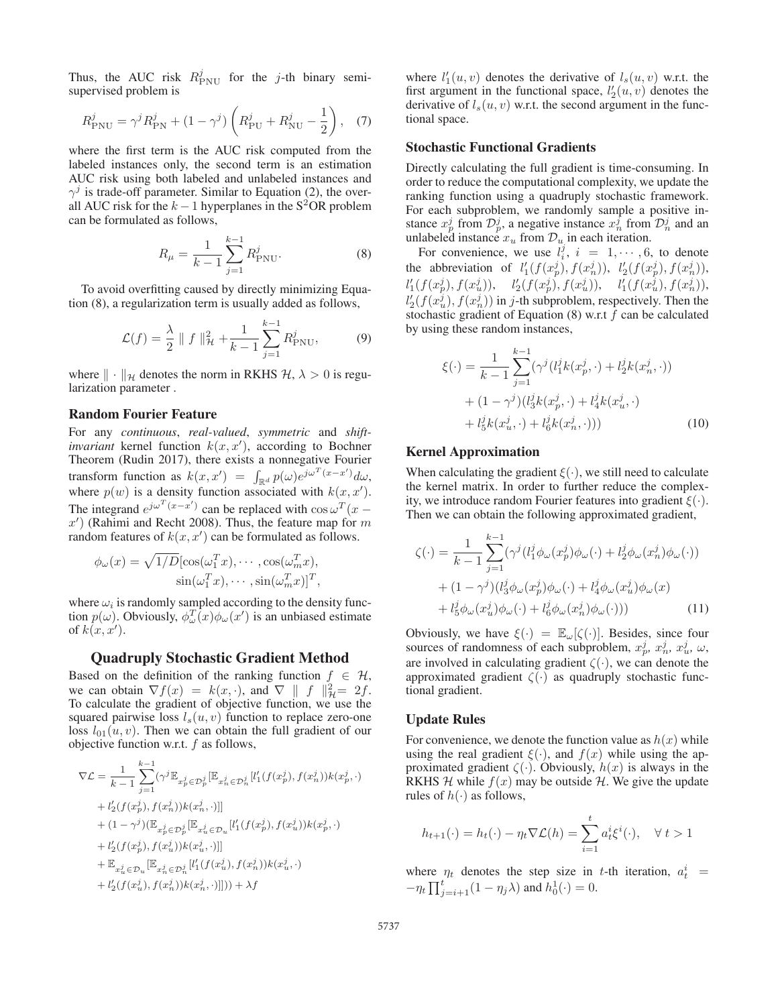Thus, the AUC risk  $R_{\text{PNU}}^j$  for the *j*-th binary semisupervised problem is

$$
R_{\rm PNU}^j = \gamma^j R_{\rm PN}^j + (1 - \gamma^j) \left( R_{\rm PU}^j + R_{\rm NU}^j - \frac{1}{2} \right), \quad (7)
$$

where the first term is the AUC risk computed from the labeled instances only, the second term is an estimation AUC risk using both labeled and unlabeled instances and  $\gamma^{j}$  is trade-off parameter. Similar to Equation (2), the overall AUC risk for the  $k - 1$  hyperplanes in the S<sup>2</sup>OR problem can be formulated as follows,

$$
R_{\mu} = \frac{1}{k-1} \sum_{j=1}^{k-1} R_{\text{PNU}}^{j}.
$$
 (8)

To avoid overfitting caused by directly minimizing Equation (8), a regularization term is usually added as follows,

$$
\mathcal{L}(f) = \frac{\lambda}{2} \| f \|_{\mathcal{H}}^2 + \frac{1}{k-1} \sum_{j=1}^{k-1} R_{\text{PNU}}^j,
$$
(9)

where  $\|\cdot\|_{\mathcal{H}}$  denotes the norm in RKHS  $\mathcal{H}, \lambda > 0$  is regularization parameter .

#### Random Fourier Feature

For any *continuous*, *real-valued*, *symmetric* and *shiftinvariant* kernel function  $k(x, x')$ , according to Bochner<br>Theorem (Rudin 2017) there exists a nonnegative Fourier Theorem (Rudin 2017), there exists a nonnegative Fourier transform function as  $k(x, x') = \int_{\mathbb{R}^d} p(\omega) e^{j\omega^T (x-x')} d\omega$ ,<br>where  $p(w)$  is a density function associated with  $k(x, x')$ where  $p(w)$  is a density function associated with  $k(x, x')$ .<br>The integrand  $e^{jw^T(x-x')}$  can be replaced with  $\cos(x)$ . The integrand  $e^{j\omega^{T}(x-x')}$  can be replaced with  $\cos \omega^{T}(x-x')$  (Rahimi and Recht 2008). Thus the feature man for m x') (Rahimi and Recht 2008). Thus, the feature map for m<br>random features of  $k(x, x')$  can be formulated as follows random features of  $k(x, x')$  can be formulated as follows.

$$
\phi_{\omega}(x) = \sqrt{1/D} [\cos(\omega_1^T x), \cdots, \cos(\omega_m^T x),
$$
  
 
$$
\sin(\omega_1^T x), \cdots, \sin(\omega_m^T x)]^T,
$$

where  $\omega_i$  is randomly sampled according to the density function  $p(\omega)$ . Obviously,  $\phi_{\omega}^T(x)\phi_{\omega}(x')$  is an unbiased estimate of  $k(x, x')$ .

## Quadruply Stochastic Gradient Method

Based on the definition of the ranking function  $f \in \mathcal{H}$ , we can obtain  $\nabla f(x) = k(x, \cdot)$ , and  $\nabla \parallel f \parallel^2_{\mathcal{H}} = 2f$ .<br>To calculate the gradient of objective function, we use the To calculate the gradient of objective function, we use the squared pairwise loss  $l_s(u, v)$  function to replace zero-one loss  $l_{01}(u, v)$ . Then we can obtain the full gradient of our objective function w.r.t.  $f$  as follows,

$$
\nabla \mathcal{L} = \frac{1}{k-1} \sum_{j=1}^{k-1} (\gamma^j \mathbb{E}_{x_p^j \in \mathcal{D}_p^j} [\mathbb{E}_{x_n^j \in \mathcal{D}_n^j} [l'_1(f(x_p^j), f(x_n^j))k(x_p^j, \cdot) \n+ l'_2(f(x_p^j), f(x_n^j))k(x_n^j, \cdot)]] \n+ (1 - \gamma^j) (\mathbb{E}_{x_p^j \in \mathcal{D}_p^j} [\mathbb{E}_{x_u^j \in \mathcal{D}_u} [l'_1(f(x_p^j), f(x_u^j))k(x_p^j, \cdot) \n+ l'_2(f(x_p^j), f(x_u^j))k(x_u^j, \cdot)]] \n+ \mathbb{E}_{x_u^j \in \mathcal{D}_u} [\mathbb{E}_{x_n^j \in \mathcal{D}_n^j} [l'_1(f(x_u^j), f(x_n^j))k(x_u^j, \cdot) \n+ l'_2(f(x_u^j), f(x_n^j))k(x_n^j, \cdot)]])) + \lambda f
$$

where  $l'_1(u, v)$  denotes the derivative of  $l_s(u, v)$  w.r.t. the first aroument in the functional space  $l'_2(u, v)$  denotes the first argument in the functional space,  $l'_2(u, v)$  denotes the derivative of  $l_1(u, v)$  w r t the second argument in the funcderivative of  $l_s(u, v)$  w.r.t. the second argument in the functional space.

#### Stochastic Functional Gradients

Directly calculating the full gradient is time-consuming. In order to reduce the computational complexity, we update the ranking function using a quadruply stochastic framework. For each subproblem, we randomly sample a positive instance  $x_p^j$  from  $\mathcal{D}_p^j$ , a negative instance  $x_n^j$  from  $\mathcal{D}_n^j$  and an unlabeled instance  $x_u$  from  $\mathcal{D}_u$  in each iteration.

For convenience, we use  $l_i^j$ ,  $i = 1, \dots, 6$ , to denote the abbreviation of  $l'_1(f(x_p^j), f(x_n^j)), l'_2(f(x_p^j), f(x_n^j)),$ <br>  $l'_1(f(x_1^j), f(x_1^j)) = l'_1(f(x_1^j), f(x_1^j), f(x_1^j))$  $l'_1(f(x_p^j), f(x_u^j)), \quad l'_2(f(x_p^j), f(x_u^j)), \quad l'_1(f(x_u^j), f(x_u^j)),$ <br> $l'_1(f(x_u^j), f(x_u^j)), \quad l'_2(f(x_u^j), f(x_u^j)),$ <br> $l'_2(f(x_u^j), f(x_u^j)), \quad l'_3(f(x_u^j), f(x_u^j)),$  $l'_2(f(x_u^j), f(x_u^j))$  in j-th subproblem, respectively. Then the stochastic gradient of Equation (8) w.r.t. f. can be calculated stochastic gradient of Equation  $(8)$  w.r.t  $f$  can be calculated by using these random instances,

$$
\xi(\cdot) = \frac{1}{k-1} \sum_{j=1}^{k-1} (\gamma^j (l_1^j k(x_p^j, \cdot) + l_2^j k(x_n^j, \cdot)) + (1 - \gamma^j)(l_3^j k(x_p^j, \cdot) + l_4^j k(x_n^j, \cdot)) + l_5^j k(x_n^j, \cdot) + l_6^j k(x_n^j, \cdot)))
$$
(10)

#### Kernel Approximation

When calculating the gradient  $\xi(\cdot)$ , we still need to calculate the kernel matrix. In order to further reduce the complexity, we introduce random Fourier features into gradient  $\xi(\cdot)$ . Then we can obtain the following approximated gradient,

$$
\zeta(\cdot) = \frac{1}{k-1} \sum_{j=1}^{k-1} (\gamma^j (l_1^j \phi_\omega(x_p^j) \phi_\omega(\cdot) + l_2^j \phi_\omega(x_n^j) \phi_\omega(\cdot)) \n+ (1 - \gamma^j) (l_3^j \phi_\omega(x_p^j) \phi_\omega(\cdot) + l_4^j \phi_\omega(x_u^j) \phi_\omega(x) \n+ l_5^j \phi_\omega(x_u^j) \phi_\omega(\cdot) + l_6^j \phi_\omega(x_n^j) \phi_\omega(\cdot)))
$$
\n(11)

Obviously, we have  $\xi(\cdot) = \mathbb{E}_{\omega}[\zeta(\cdot)]$ . Besides, since four sources of randomness of each subproblem,  $x_n^j$ ,  $x_n^j$ ,  $x_n^j$ ,  $\omega$ , are involved in calculating gradient  $\zeta(\cdot)$ , we can denote the approximated gradient  $\zeta(\cdot)$  as quadruply stochastic functional gradient.

#### Update Rules

For convenience, we denote the function value as  $h(x)$  while using the real gradient  $\xi(\cdot)$ , and  $f(x)$  while using the approximated gradient  $\zeta(\cdot)$ . Obviously,  $h(x)$  is always in the RKHS  $H$  while  $f(x)$  may be outside  $H$ . We give the update rules of  $h(\cdot)$  as follows,

$$
h_{t+1}(\cdot) = h_t(\cdot) - \eta_t \nabla \mathcal{L}(h) = \sum_{i=1}^t a_t^i \xi^i(\cdot), \quad \forall \ t > 1
$$

where  $\eta_t$  denotes the step size in t-th iteration,  $a_t^i$  =  $-\eta_t \prod_{j=i+1}^t (1 - \eta_j \lambda)$  and  $h_0^1(\cdot) = 0$ .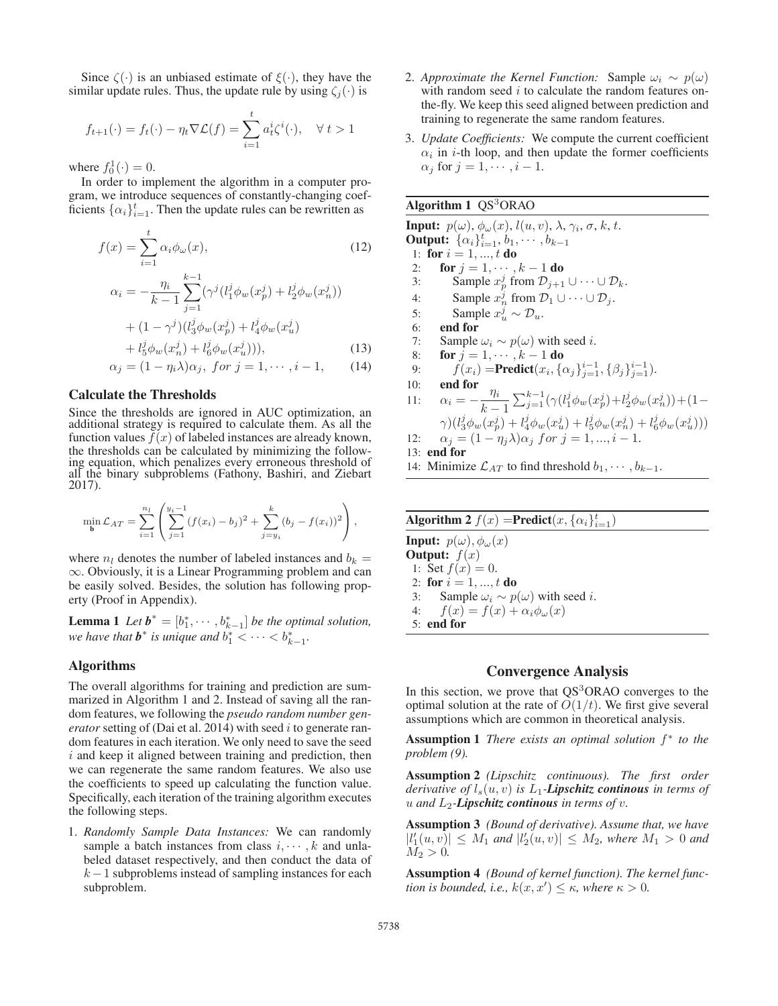Since  $\zeta(\cdot)$  is an unbiased estimate of  $\xi(\cdot)$ , they have the similar update rules. Thus, the update rule by using  $\zeta_i(\cdot)$  is

$$
f_{t+1}(\cdot) = f_t(\cdot) - \eta_t \nabla \mathcal{L}(f) = \sum_{i=1}^t a_t^i \zeta^i(\cdot), \quad \forall \ t > 1
$$

where  $f_0^1(\cdot) = 0$ .<br>In order to im-

In order to implement the algorithm in a computer program, we introduce sequences of constantly-changing coefficients  $\{\alpha_i\}_{i=1}^t$ . Then the update rules can be rewritten as

$$
f(x) = \sum_{i=1}^{t} \alpha_i \phi_{\omega}(x),
$$
\n
$$
\alpha_i = -\frac{\eta_i}{k-1} \sum_{j=1}^{k-1} (\gamma^j (l_1^j \phi_w(x_p^j) + l_2^j \phi_w(x_n^j))
$$
\n
$$
+ (1 - \gamma^j) (l_3^j \phi_w(x_p^j) + l_4^j \phi_w(x_u^j))
$$
\n
$$
+ l_3^j \phi_w(x_p^j) + l_4^j \phi_w(x_u^j)
$$
\n(13)

+ 
$$
l_5^j \phi_w(x_n^j) + l_6^j \phi_w(x_u^j)
$$
), (13)  
\n $\alpha_j = (1 - \eta_i \lambda) \alpha_j$ , for  $j = 1, \dots, i - 1$ , (14)

#### Calculate the Thresholds

Since the thresholds are ignored in AUC optimization, an additional strategy is required to calculate them. As all the function values  $f(x)$  of labeled instances are already known, the thresholds can be calculated by minimizing the following equation, which penalizes every erroneous threshold of all the binary subproblems (Fathony, Bashiri, and Ziebart 2017).

$$
\min_{\mathbf{b}} \mathcal{L}_{AT} = \sum_{i=1}^{n_l} \left( \sum_{j=1}^{y_i - 1} (f(x_i) - b_j)^2 + \sum_{j=y_i}^{k} (b_j - f(x_i))^2 \right),
$$

where  $n_l$  denotes the number of labeled instances and  $b_k =$ ∞. Obviously, it is a Linear Programming problem and can be easily solved. Besides, the solution has following property (Proof in Appendix).

**Lemma 1** Let  $b^* = [b_1^*, \cdots, b_{k-1}^*]$  be the optimal solution,<br>we have that  $b^*$  is unique and  $b^* \leq \cdots \leq b^*$ *we have that*  $\mathbf{b}^*$  *is unique and*  $b_1^*$  <  $\cdots$  <  $b_{k-1}^*$ .

#### Algorithms

The overall algorithms for training and prediction are summarized in Algorithm 1 and 2. Instead of saving all the random features, we following the *pseudo random number generator* setting of (Dai et al. 2014) with seed *i* to generate random features in each iteration. We only need to save the seed  $i$  and keep it aligned between training and prediction, then we can regenerate the same random features. We also use the coefficients to speed up calculating the function value. Specifically, each iteration of the training algorithm executes the following steps.

1. *Randomly Sample Data Instances:* We can randomly sample a batch instances from class  $i, \dots, k$  and unlabeled dataset respectively, and then conduct the data of  $k-1$  subproblems instead of sampling instances for each subproblem.

- 2. *Approximate the Kernel Function:* Sample  $\omega_i \sim p(\omega)$ with random seed  $i$  to calculate the random features onthe-fly. We keep this seed aligned between prediction and training to regenerate the same random features.
- 3. *Update Coefficients:* We compute the current coefficient  $\alpha_i$  in *i*-th loop, and then update the former coefficients  $\alpha_j$  for  $j = 1, \dots, i - 1$ .

### Algorithm  $1 \text{ QS}^3\text{ORAO}$

```
Input: p(\omega), \phi_{\omega}(x), l(u, v), \lambda, \gamma_i, \sigma, k, t.
Output: \{\alpha_i\}_{i=1}^t, b_1, \cdots, b_{k-1}1: for i = 1, ..., t do<br>2: for j = 1, ..., t2: for j = 1, \dots, k - 1 do<br>3: Sample x_{\underline{i}}^j from \mathcal{D}_{i+1}3: Sample x_p^j from \mathcal{D}_{j+1} \cup \cdots \cup \mathcal{D}_k.
  4: Sample x_n^j from \mathcal{D}_1 \cup \cdots \cup \mathcal{D}_j.
  5: Sample x_u^{\hat{j}} \sim \mathcal{D}_u.
  6: end for
 7: Sample \omega_i \sim p(\omega) with seed i.<br>8: for i = 1, \dots, k - 1 do
 8: for j = 1, \dots, k - 1 do<br>9: f(x_i) = Predict(x_i, {c
  9: f(x_i) = \text{Predict}(x_i, \{\alpha_j\}_{j=1}^{i-1}, \{\beta_j\}_{j=1}^{i-1}).<br>(): end for
10: end for<br>
11: \alpha_i = -\frac{\eta_i}{k-1}<br>
\gamma \left( l^j \phi_{i,j}(r^j) \right)\sum_{j=1}^{k-1} (\gamma(l_1^j \phi_w(x_p^j) + l_2^j \phi_w(x_n^j)) + (1 -\gamma)(l_3^j \phi_w(x_p^j) + l_4^j \phi_w(x_u^j) + l_5^j \phi_w(x_n^j) + l_6^j \phi_w(x_u^j)))
12: \alpha_j = (1 - \eta_j \lambda) \alpha_j \text{ for } j = 1, ..., i - 1.13: end for
14: Minimize \mathcal{L}_{AT} to find threshold b_1, \dots, b_{k-1}.
```

| <b>Algorithm 2</b> $f(x)$ = <b>Predict</b> $(x, {\alpha_i}_{i=1}^t)$ |  |  |  |  |  |
|----------------------------------------------------------------------|--|--|--|--|--|
| <b>Input:</b> $p(\omega), \phi_{\omega}(x)$                          |  |  |  |  |  |
| <b>Output:</b> $f(x)$                                                |  |  |  |  |  |
| 1: Set $f(x) = 0$ .                                                  |  |  |  |  |  |
| 2: for $i = 1, , t$ do                                               |  |  |  |  |  |
| 3: Sample $\omega_i \sim p(\omega)$ with seed <i>i</i> .             |  |  |  |  |  |
| 4: $f(x) = f(x) + \alpha_i \phi_\omega(x)$                           |  |  |  |  |  |
| $5:$ end for                                                         |  |  |  |  |  |
|                                                                      |  |  |  |  |  |

## Convergence Analysis

In this section, we prove that  $QS<sup>3</sup>ORAO$  converges to the optimal solution at the rate of  $O(1/t)$ . We first give several assumptions which are common in theoretical analysis.

**Assumption 1** *There exists an optimal solution*  $f^*$  *to the problem (9).*

Assumption 2 *(Lipschitz continuous). The first order derivative of*  $l_s(u, v)$  *is*  $L_1$ -*Lipschitz continous in terms of*  $u$  *and*  $L_2$ -*Lipschitz continous in terms of v.* 

Assumption 3 *(Bound of derivative). Assume that, we have*  $|l'_1(u,v)| \leq M_1$  and  $|l'_2(u,v)| \leq M_2$ , where  $M_1 > 0$  and  $M_2 > 0$  $M_2 > 0.$ 

Assumption 4 *(Bound of kernel function). The kernel function is bounded, i.e.,*  $k(x, x') \leq \kappa$ *, where*  $\kappa > 0$ *.*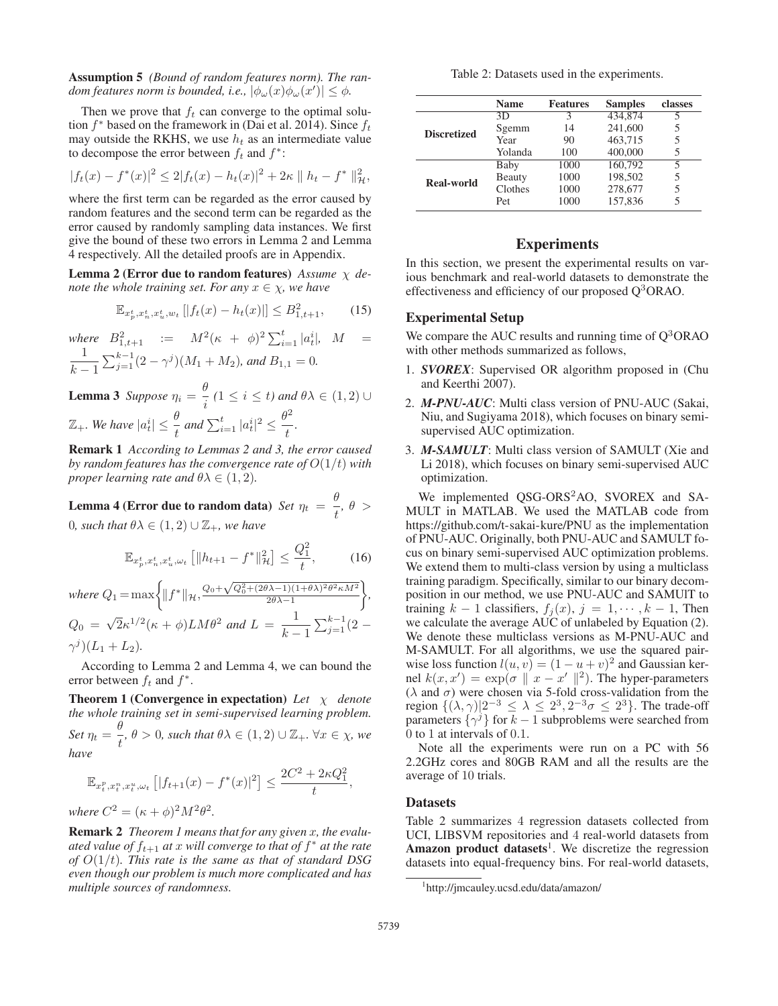Assumption 5 *(Bound of random features norm). The random features norm is bounded, i.e.,*  $|\phi_{\omega}(x)\phi_{\omega}(x')| \leq \phi$ .

Then we prove that  $f_t$  can converge to the optimal solution  $f^*$  based on the framework in (Dai et al. 2014). Since  $f_t$ may outside the RKHS, we use  $h_t$  as an intermediate value to decompose the error between  $f_t$  and  $f^*$ :

$$
|f_t(x) - f^*(x)|^2 \le 2|f_t(x) - h_t(x)|^2 + 2\kappa \|h_t - f^*\|_{\mathcal{H}}^2,
$$

where the first term can be regarded as the error caused by random features and the second term can be regarded as the error caused by randomly sampling data instances. We first give the bound of these two errors in Lemma 2 and Lemma 4 respectively. All the detailed proofs are in Appendix.

Lemma 2 (Error due to random features) *Assume* χ *denote the whole training set. For any*  $x \in \chi$ *, we have* 

$$
\mathbb{E}_{x_p^t, x_n^t, x_u^t, w_t} [f_t(x) - h_t(x)] \le B_{1, t+1}^2,\tag{15}
$$

*where*  $B_{1,t+1}^2 := M^2(\kappa + \phi)^2 \sum_{i=1}^t |a_t^i|$ ,  $M =$  $\frac{1}{k-1}$  $\sum_{j=1}^{k-1} (2 - \gamma^j)(M_1 + M_2)$ , and  $B_{1,1} = 0$ .

**Lemma 3** Suppose  $\eta_i = \frac{\theta}{i}$  ( $1 \le i \le t$ ) and  $\theta \lambda \in (1, 2) \cup$  $\mathbb{Z}_+$ *. We have*  $|a_t^i| \leq \frac{\theta}{t}$  and  $\sum_{i=1}^t |a_t^i|^2 \leq \frac{\theta^2}{t}$  $\frac{1}{t}$ .

Remark 1 *According to Lemmas 2 and 3, the error caused by random features has the convergence rate of* <sup>O</sup>(1/t) *with proper learning rate and*  $\theta \lambda \in (1, 2)$ *.* 

**Lemma 4 (Error due to random data)** *Set*  $\eta_t = \frac{\theta}{t}$ ,  $\theta >$ 0*, such that*  $\theta \lambda \in (1, 2) \cup \mathbb{Z}_+$ *, we have* 

$$
\mathbb{E}_{x_p^t, x_n^t, x_u^t, \omega_t} \left[ \|h_{t+1} - f^*\|_{\mathcal{H}}^2 \right] \le \frac{Q_1^2}{t},\tag{16}
$$

*where*  $Q_1 = \max \left\{ ||f^*||_{\mathcal{H}}, \frac{Q_0 + \sqrt{Q_0^2 + (2\theta \lambda - 1)(1 + \theta \lambda)^2 \theta^2 \kappa M^2}}{2\theta \lambda - 1} \right\}$  $\sqrt{2\theta\lambda-1}$  *,*  $Q_0 = \sqrt{2\kappa^{1/2}(\kappa + \phi)LM\theta^2}$  and  $L = \frac{1}{k-1}$ <br>  $\gamma^j (L_1 + L_2)$ .  $\sum_{j=1}^{k-1} (2 (\gamma^j)(L_1 + L_2).$ 

According to Lemma 2 and Lemma 4, we can bound the error between  $f_t$  and  $f^*$ .

Theorem 1 (Convergence in expectation) *Let* χ *denote the whole training set in semi-supervised learning problem. Set*  $\eta_t = \frac{\theta}{t}, \theta > 0$ *, such that*  $\theta \lambda \in (1, 2) \cup \mathbb{Z}_+$ *.*  $\forall x \in \chi$ *, we have*

$$
\mathbb{E}_{x_t^p, x_t^n, x_t^u, \omega_t} [|f_{t+1}(x) - f^*(x)|^2] \le \frac{2C^2 + 2\kappa Q_1^2}{t},
$$

*where*  $C^2 = (\kappa + \phi)^2 M^2 \theta^2$ .

Remark 2 *Theorem 1 means that for any given* x*, the evaluated value of*  $f_{t+1}$  *at* x *will converge to that of*  $f^*$  *at the rate of* <sup>O</sup>(1/t)*. This rate is the same as that of standard DSG even though our problem is much more complicated and has multiple sources of randomness.*

Table 2: Datasets used in the experiments.

|                    | <b>Name</b> | <b>Features</b> | <b>Samples</b> | classes |
|--------------------|-------------|-----------------|----------------|---------|
|                    | 3D.         | 3               | 434,874        |         |
| <b>Discretized</b> | Sgemm       | 14              | 241,600        | 5       |
|                    | Year        | 90              | 463,715        | 5       |
|                    | Yolanda     | 100             | 400,000        |         |
|                    | Baby        | 1000            | 160,792        | 5       |
| Real-world         | Beauty      | 1000            | 198,502        | 5       |
|                    | Clothes     | 1000            | 278,677        | 5       |
|                    | Pet         | 1000            | 157,836        |         |
|                    |             |                 |                |         |

## Experiments

In this section, we present the experimental results on various benchmark and real-world datasets to demonstrate the effectiveness and efficiency of our proposed  $Q<sup>3</sup>ORAO$ .

## Experimental Setup

We compare the AUC results and running time of  $Q<sup>3</sup>ORAO$ with other methods summarized as follows,

- 1. *SVOREX*: Supervised OR algorithm proposed in (Chu and Keerthi 2007).
- 2. *M-PNU-AUC*: Multi class version of PNU-AUC (Sakai, Niu, and Sugiyama 2018), which focuses on binary semisupervised AUC optimization.
- 3. *M-SAMULT*: Multi class version of SAMULT (Xie and Li 2018), which focuses on binary semi-supervised AUC optimization.

We implemented QSG-ORS<sup>2</sup>AO, SVOREX and SA-MULT in MATLAB. We used the MATLAB code from https://github.com/t-sakai-kure/PNU as the implementation of PNU-AUC. Originally, both PNU-AUC and SAMULT focus on binary semi-supervised AUC optimization problems. We extend them to multi-class version by using a multiclass training paradigm. Specifically, similar to our binary decomposition in our method, we use PNU-AUC and SAMUlT to training  $k - 1$  classifiers,  $f_j(x)$ ,  $j = 1, \dots, k - 1$ , Then we calculate the average AUC of unlabeled by Equation (2). We denote these multiclass versions as M-PNU-AUC and M-SAMULT. For all algorithms, we use the squared pairwise loss function  $l(u, v) = (1 - u + v)^2$  and Gaussian ker-<br>nel  $k(x, x') = \exp(\sigma || x - x'||^2)$ . The hyper-parameters nel  $k(x, x') = \exp(\sigma || x - x' ||^2)$ . The hyper-parameters ( $\lambda$  and  $\sigma$ ) were chosen via 5-fold cross-validation from the  $(\lambda$  and  $\sigma)$  were chosen via 5-fold cross-validation from the region  $\{(\lambda, \gamma)|2^{-3} \leq \lambda \leq 2^3, 2^{-3}\sigma \leq 2^3\}$ . The trade-off parameters  $\{\gamma^j\}$  for  $k-1$  subproblems were searched from 0 to 1 at intervals of 0.1.

Note all the experiments were run on a PC with 56 2.2GHz cores and 80GB RAM and all the results are the average of 10 trials.

#### Datasets

Table 2 summarizes 4 regression datasets collected from UCI, LIBSVM repositories and 4 real-world datasets from Amazon product datasets<sup>1</sup>. We discretize the regression datasets into equal-frequency bins. For real-world datasets,

<sup>1</sup> http://jmcauley.ucsd.edu/data/amazon/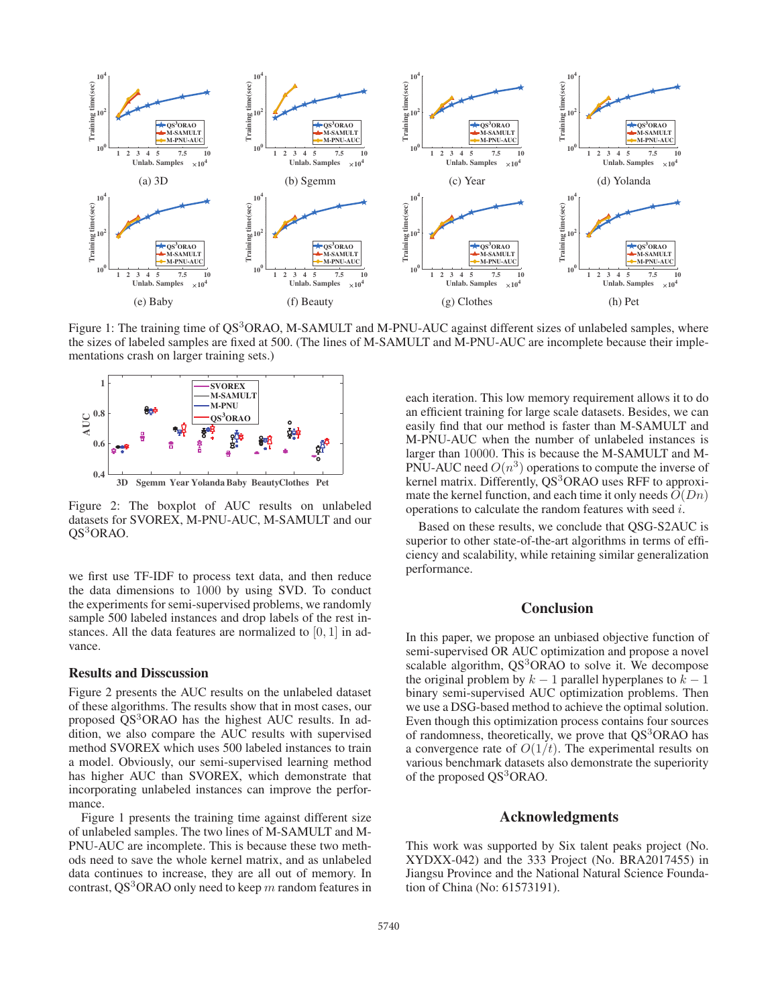

Figure 1: The training time of QS<sup>3</sup>ORAO, M-SAMULT and M-PNU-AUC against different sizes of unlabeled samples, where the sizes of labeled samples are fixed at 500. (The lines of M-SAMULT and M-PNU-AUC are incomplete because their implementations crash on larger training sets.)



Figure 2: The boxplot of AUC results on unlabeled datasets for SVOREX, M-PNU-AUC, M-SAMULT and our QS<sup>3</sup>ORAO.

we first use TF-IDF to process text data, and then reduce the data dimensions to 1000 by using SVD. To conduct the experiments for semi-supervised problems, we randomly sample 500 labeled instances and drop labels of the rest instances. All the data features are normalized to  $[0, 1]$  in advance.

#### Results and Disscussion

Figure 2 presents the AUC results on the unlabeled dataset of these algorithms. The results show that in most cases, our proposed QS<sup>3</sup>ORAO has the highest AUC results. In addition, we also compare the AUC results with supervised method SVOREX which uses 500 labeled instances to train a model. Obviously, our semi-supervised learning method has higher AUC than SVOREX, which demonstrate that incorporating unlabeled instances can improve the performance.

Figure 1 presents the training time against different size of unlabeled samples. The two lines of M-SAMULT and M-PNU-AUC are incomplete. This is because these two methods need to save the whole kernel matrix, and as unlabeled data continues to increase, they are all out of memory. In contrast, QS<sup>3</sup>ORAO only need to keep m random features in each iteration. This low memory requirement allows it to do an efficient training for large scale datasets. Besides, we can easily find that our method is faster than M-SAMULT and M-PNU-AUC when the number of unlabeled instances is larger than 10000. This is because the M-SAMULT and M-PNU-AUC need  $O(n^3)$  operations to compute the inverse of kernel matrix. Differently, QS<sup>3</sup>ORAO uses RFF to approximate the kernel function, and each time it only needs  $O(Dn)$ operations to calculate the random features with seed i.

Based on these results, we conclude that QSG-S2AUC is superior to other state-of-the-art algorithms in terms of efficiency and scalability, while retaining similar generalization performance.

## **Conclusion**

In this paper, we propose an unbiased objective function of semi-supervised OR AUC optimization and propose a novel scalable algorithm,  $QS<sup>3</sup>ORAO$  to solve it. We decompose the original problem by  $k - 1$  parallel hyperplanes to  $k - 1$ binary semi-supervised AUC optimization problems. Then we use a DSG-based method to achieve the optimal solution. Even though this optimization process contains four sources of randomness, theoretically, we prove that  $QS<sup>3</sup>ORAO$  has a convergence rate of  $O(1/t)$ . The experimental results on various benchmark datasets also demonstrate the superiority of the proposed QS<sup>3</sup>ORAO.

## Acknowledgments

This work was supported by Six talent peaks project (No. XYDXX-042) and the 333 Project (No. BRA2017455) in Jiangsu Province and the National Natural Science Foundation of China (No: 61573191).